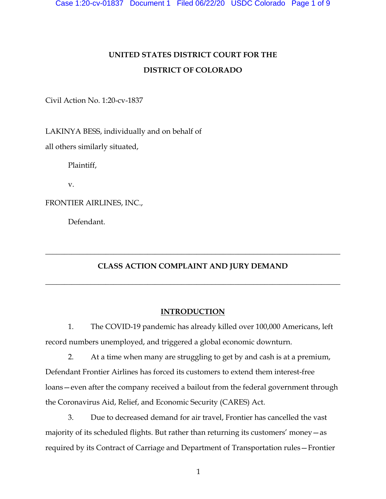# **UNITED STATES DISTRICT COURT FOR THE DISTRICT OF COLORADO**

Civil Action No. 1:20-cv-1837

LAKINYA BESS, individually and on behalf of

all others similarly situated,

Plaintiff,

v.

FRONTIER AIRLINES, INC.,

Defendant.

## **CLASS ACTION COMPLAINT AND JURY DEMAND**

\_\_\_\_\_\_\_\_\_\_\_\_\_\_\_\_\_\_\_\_\_\_\_\_\_\_\_\_\_\_\_\_\_\_\_\_\_\_\_\_\_\_\_\_\_\_\_\_\_\_\_\_\_\_\_\_\_\_\_\_\_\_\_\_\_\_\_\_\_\_\_\_\_\_\_\_\_\_

\_\_\_\_\_\_\_\_\_\_\_\_\_\_\_\_\_\_\_\_\_\_\_\_\_\_\_\_\_\_\_\_\_\_\_\_\_\_\_\_\_\_\_\_\_\_\_\_\_\_\_\_\_\_\_\_\_\_\_\_\_\_\_\_\_\_\_\_\_\_\_\_\_\_\_\_\_\_

### **INTRODUCTION**

1. The COVID-19 pandemic has already killed over 100,000 Americans, left record numbers unemployed, and triggered a global economic downturn.

2. At a time when many are struggling to get by and cash is at a premium, Defendant Frontier Airlines has forced its customers to extend them interest-free loans—even after the company received a bailout from the federal government through the Coronavirus Aid, Relief, and Economic Security (CARES) Act.

3. Due to decreased demand for air travel, Frontier has cancelled the vast majority of its scheduled flights. But rather than returning its customers' money—as required by its Contract of Carriage and Department of Transportation rules—Frontier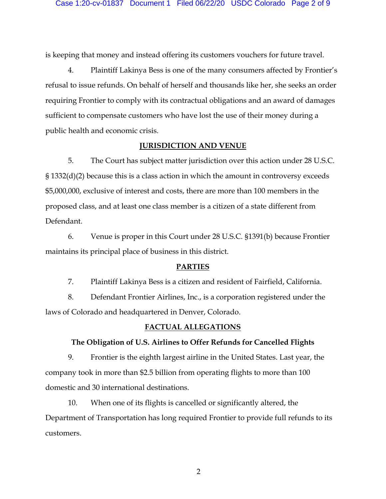is keeping that money and instead offering its customers vouchers for future travel.

4. Plaintiff Lakinya Bess is one of the many consumers affected by Frontier's refusal to issue refunds. On behalf of herself and thousands like her, she seeks an order requiring Frontier to comply with its contractual obligations and an award of damages sufficient to compensate customers who have lost the use of their money during a public health and economic crisis.

### **JURISDICTION AND VENUE**

5. The Court has subject matter jurisdiction over this action under 28 U.S.C. § 1332(d)(2) because this is a class action in which the amount in controversy exceeds \$5,000,000, exclusive of interest and costs, there are more than 100 members in the proposed class, and at least one class member is a citizen of a state different from Defendant.

6. Venue is proper in this Court under 28 U.S.C. §1391(b) because Frontier maintains its principal place of business in this district.

#### **PARTIES**

7. Plaintiff Lakinya Bess is a citizen and resident of Fairfield, California.

8. Defendant Frontier Airlines, Inc., is a corporation registered under the laws of Colorado and headquartered in Denver, Colorado.

### **FACTUAL ALLEGATIONS**

### **The Obligation of U.S. Airlines to Offer Refunds for Cancelled Flights**

9. Frontier is the eighth largest airline in the United States. Last year, the company took in more than \$2.5 billion from operating flights to more than 100 domestic and 30 international destinations.

10. When one of its flights is cancelled or significantly altered, the Department of Transportation has long required Frontier to provide full refunds to its customers.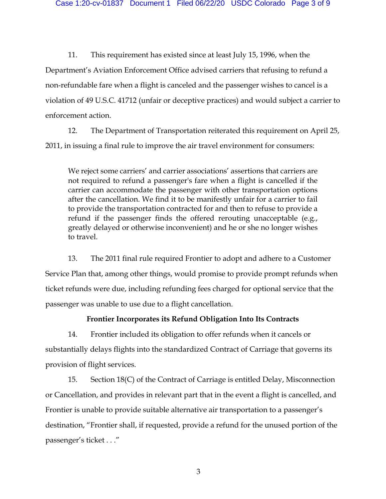11. This requirement has existed since at least July 15, 1996, when the Department's Aviation Enforcement Office advised carriers that refusing to refund a non-refundable fare when a flight is canceled and the passenger wishes to cancel is a violation of 49 U.S.C. 41712 (unfair or deceptive practices) and would subject a carrier to enforcement action.

12. The Department of Transportation reiterated this requirement on April 25, 2011, in issuing a final rule to improve the air travel environment for consumers:

We reject some carriers' and carrier associations' assertions that carriers are not required to refund a passenger's fare when a flight is cancelled if the carrier can accommodate the passenger with other transportation options after the cancellation. We find it to be manifestly unfair for a carrier to fail to provide the transportation contracted for and then to refuse to provide a refund if the passenger finds the offered rerouting unacceptable (e.g., greatly delayed or otherwise inconvenient) and he or she no longer wishes to travel.

13. The 2011 final rule required Frontier to adopt and adhere to a Customer Service Plan that, among other things, would promise to provide prompt refunds when ticket refunds were due, including refunding fees charged for optional service that the passenger was unable to use due to a flight cancellation.

## **Frontier Incorporates its Refund Obligation Into Its Contracts**

14. Frontier included its obligation to offer refunds when it cancels or substantially delays flights into the standardized Contract of Carriage that governs its provision of flight services.

15. Section 18(C) of the Contract of Carriage is entitled Delay, Misconnection or Cancellation, and provides in relevant part that in the event a flight is cancelled, and Frontier is unable to provide suitable alternative air transportation to a passenger's destination, "Frontier shall, if requested, provide a refund for the unused portion of the passenger's ticket . . ."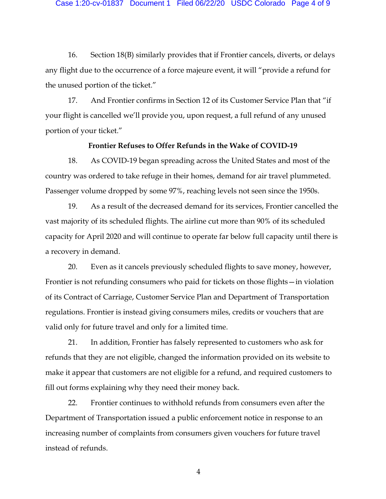#### Case 1:20-cv-01837 Document 1 Filed 06/22/20 USDC Colorado Page 4 of 9

16. Section 18(B) similarly provides that if Frontier cancels, diverts, or delays any flight due to the occurrence of a force majeure event, it will "provide a refund for the unused portion of the ticket."

17. And Frontier confirms in Section 12 of its Customer Service Plan that "if your flight is cancelled we'll provide you, upon request, a full refund of any unused portion of your ticket."

#### **Frontier Refuses to Offer Refunds in the Wake of COVID-19**

18. As COVID-19 began spreading across the United States and most of the country was ordered to take refuge in their homes, demand for air travel plummeted. Passenger volume dropped by some 97%, reaching levels not seen since the 1950s.

19. As a result of the decreased demand for its services, Frontier cancelled the vast majority of its scheduled flights. The airline cut more than 90% of its scheduled capacity for April 2020 and will continue to operate far below full capacity until there is a recovery in demand.

20. Even as it cancels previously scheduled flights to save money, however, Frontier is not refunding consumers who paid for tickets on those flights—in violation of its Contract of Carriage, Customer Service Plan and Department of Transportation regulations. Frontier is instead giving consumers miles, credits or vouchers that are valid only for future travel and only for a limited time.

21. In addition, Frontier has falsely represented to customers who ask for refunds that they are not eligible, changed the information provided on its website to make it appear that customers are not eligible for a refund, and required customers to fill out forms explaining why they need their money back.

22. Frontier continues to withhold refunds from consumers even after the Department of Transportation issued a public enforcement notice in response to an increasing number of complaints from consumers given vouchers for future travel instead of refunds.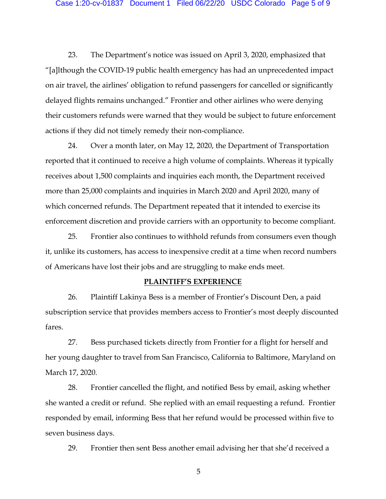23. The Department's notice was issued on April 3, 2020, emphasized that "[a]lthough the COVID-19 public health emergency has had an unprecedented impact on air travel, the airlines' obligation to refund passengers for cancelled or significantly delayed flights remains unchanged." Frontier and other airlines who were denying their customers refunds were warned that they would be subject to future enforcement actions if they did not timely remedy their non-compliance.

24. Over a month later, on May 12, 2020, the Department of Transportation reported that it continued to receive a high volume of complaints. Whereas it typically receives about 1,500 complaints and inquiries each month, the Department received more than 25,000 complaints and inquiries in March 2020 and April 2020, many of which concerned refunds. The Department repeated that it intended to exercise its enforcement discretion and provide carriers with an opportunity to become compliant.

25. Frontier also continues to withhold refunds from consumers even though it, unlike its customers, has access to inexpensive credit at a time when record numbers of Americans have lost their jobs and are struggling to make ends meet.

#### **PLAINTIFF'S EXPERIENCE**

26. Plaintiff Lakinya Bess is a member of Frontier's Discount Den, a paid subscription service that provides members access to Frontier's most deeply discounted fares.

27. Bess purchased tickets directly from Frontier for a flight for herself and her young daughter to travel from San Francisco, California to Baltimore, Maryland on March 17, 2020.

28. Frontier cancelled the flight, and notified Bess by email, asking whether she wanted a credit or refund. She replied with an email requesting a refund. Frontier responded by email, informing Bess that her refund would be processed within five to seven business days.

29. Frontier then sent Bess another email advising her that she'd received a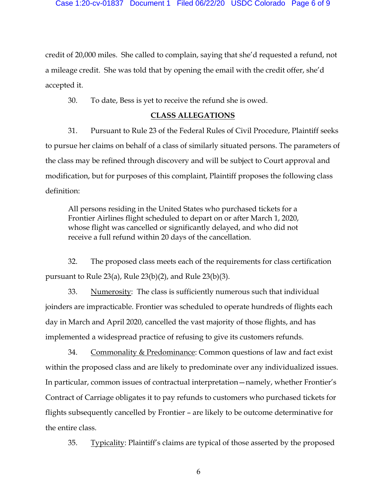credit of 20,000 miles. She called to complain, saying that she'd requested a refund, not a mileage credit. She was told that by opening the email with the credit offer, she'd accepted it.

30. To date, Bess is yet to receive the refund she is owed.

#### **CLASS ALLEGATIONS**

31. Pursuant to Rule 23 of the Federal Rules of Civil Procedure, Plaintiff seeks to pursue her claims on behalf of a class of similarly situated persons. The parameters of the class may be refined through discovery and will be subject to Court approval and modification, but for purposes of this complaint, Plaintiff proposes the following class definition:

All persons residing in the United States who purchased tickets for a Frontier Airlines flight scheduled to depart on or after March 1, 2020, whose flight was cancelled or significantly delayed, and who did not receive a full refund within 20 days of the cancellation.

32. The proposed class meets each of the requirements for class certification pursuant to Rule 23(a), Rule 23(b)(2), and Rule 23(b)(3).

33. Numerosity: The class is sufficiently numerous such that individual joinders are impracticable. Frontier was scheduled to operate hundreds of flights each day in March and April 2020, cancelled the vast majority of those flights, and has implemented a widespread practice of refusing to give its customers refunds.

34. Commonality & Predominance: Common questions of law and fact exist within the proposed class and are likely to predominate over any individualized issues. In particular, common issues of contractual interpretation—namely, whether Frontier's Contract of Carriage obligates it to pay refunds to customers who purchased tickets for flights subsequently cancelled by Frontier – are likely to be outcome determinative for the entire class.

35. Typicality: Plaintiff's claims are typical of those asserted by the proposed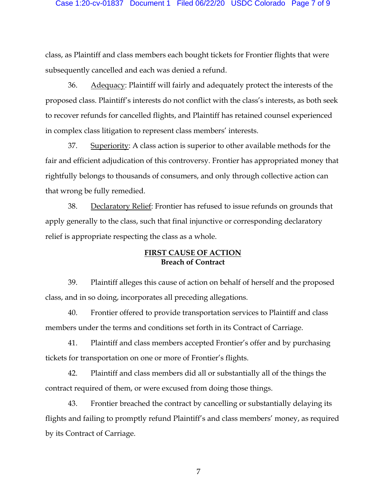class, as Plaintiff and class members each bought tickets for Frontier flights that were subsequently cancelled and each was denied a refund.

36. Adequacy: Plaintiff will fairly and adequately protect the interests of the proposed class. Plaintiff's interests do not conflict with the class's interests, as both seek to recover refunds for cancelled flights, and Plaintiff has retained counsel experienced in complex class litigation to represent class members' interests.

37. Superiority: A class action is superior to other available methods for the fair and efficient adjudication of this controversy. Frontier has appropriated money that rightfully belongs to thousands of consumers, and only through collective action can that wrong be fully remedied.

38. Declaratory Relief: Frontier has refused to issue refunds on grounds that apply generally to the class, such that final injunctive or corresponding declaratory relief is appropriate respecting the class as a whole.

#### **FIRST CAUSE OF ACTION Breach of Contract**

39. Plaintiff alleges this cause of action on behalf of herself and the proposed class, and in so doing, incorporates all preceding allegations.

40. Frontier offered to provide transportation services to Plaintiff and class members under the terms and conditions set forth in its Contract of Carriage.

41. Plaintiff and class members accepted Frontier's offer and by purchasing tickets for transportation on one or more of Frontier's flights.

42. Plaintiff and class members did all or substantially all of the things the contract required of them, or were excused from doing those things.

43. Frontier breached the contract by cancelling or substantially delaying its flights and failing to promptly refund Plaintiff's and class members' money, as required by its Contract of Carriage.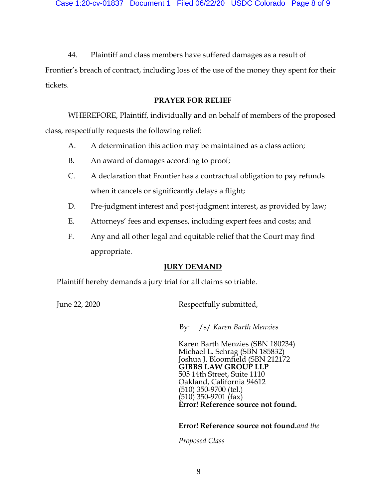44. Plaintiff and class members have suffered damages as a result of Frontier's breach of contract, including loss of the use of the money they spent for their tickets.

## **PRAYER FOR RELIEF**

WHEREFORE, Plaintiff, individually and on behalf of members of the proposed class, respectfully requests the following relief:

- A. A determination this action may be maintained as a class action;
- B. An award of damages according to proof;
- C. A declaration that Frontier has a contractual obligation to pay refunds when it cancels or significantly delays a flight;
- D. Pre-judgment interest and post-judgment interest, as provided by law;
- E. Attorneys' fees and expenses, including expert fees and costs; and
- F. Any and all other legal and equitable relief that the Court may find appropriate.

## **JURY DEMAND**

Plaintiff hereby demands a jury trial for all claims so triable.

June 22, 2020 Respectfully submitted,

By: /s/ *Karen Barth Menzies*

Karen Barth Menzies (SBN 180234) Michael L. Schrag (SBN 185832) Joshua J. Bloomfield (SBN 212172 **GIBBS LAW GROUP LLP**  505 14th Street, Suite 1110 Oakland, California 94612 (510) 350-9700 (tel.)  $(510)$  350-9701 (fax) **Error! Reference source not found.**

### **Error! Reference source not found.***and the*

*Proposed Class*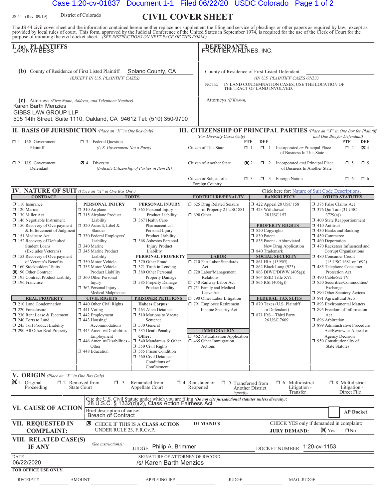#### Case 1:20-cv-01837 Document 1-1 Filed 06/22/20 USDC Colorado Page 1 of 2

District of Colorado JS 44 (Rev. 09/19)

## **CIVIL COVER SHEET**

The JS 44 civil cover sheet and the information contained herein neither replace nor supplement the filing and service of pleadings or other papers as required by law, except as provided by local rules of court. This form,

| <b>I. (a) PLAINTIFFS</b><br>LAKINYA BESS                                                                                                                                                                                                                                                                                                                                                                                                                                                                                                                                                                                                      |                                                                                                                                                                                                                                                                                                                                                                                                                                                                                                                                                                                                                                                |                                                                                                                                                                                                                                                                                                                                                                                                                                                                                                                                                                                                                                                                                                                    |  | DEFENDANTS<br>FRONTIER AIRLINES, INC.                                                                                                                                                                                                                                                                                                                                                                                                                   |                                                                                                                                                                                                                                                                                                                                                                                                                                                                                                              |                                                                                                                                                                                                                                                                                                                                                                                                                                                                                                                                                                                                                                                                                                                                                                                      |  |
|-----------------------------------------------------------------------------------------------------------------------------------------------------------------------------------------------------------------------------------------------------------------------------------------------------------------------------------------------------------------------------------------------------------------------------------------------------------------------------------------------------------------------------------------------------------------------------------------------------------------------------------------------|------------------------------------------------------------------------------------------------------------------------------------------------------------------------------------------------------------------------------------------------------------------------------------------------------------------------------------------------------------------------------------------------------------------------------------------------------------------------------------------------------------------------------------------------------------------------------------------------------------------------------------------------|--------------------------------------------------------------------------------------------------------------------------------------------------------------------------------------------------------------------------------------------------------------------------------------------------------------------------------------------------------------------------------------------------------------------------------------------------------------------------------------------------------------------------------------------------------------------------------------------------------------------------------------------------------------------------------------------------------------------|--|---------------------------------------------------------------------------------------------------------------------------------------------------------------------------------------------------------------------------------------------------------------------------------------------------------------------------------------------------------------------------------------------------------------------------------------------------------|--------------------------------------------------------------------------------------------------------------------------------------------------------------------------------------------------------------------------------------------------------------------------------------------------------------------------------------------------------------------------------------------------------------------------------------------------------------------------------------------------------------|--------------------------------------------------------------------------------------------------------------------------------------------------------------------------------------------------------------------------------------------------------------------------------------------------------------------------------------------------------------------------------------------------------------------------------------------------------------------------------------------------------------------------------------------------------------------------------------------------------------------------------------------------------------------------------------------------------------------------------------------------------------------------------------|--|
| Solano County, CA<br>County of Residence of First Listed Plaintiff<br>(b)<br>(EXCEPT IN U.S. PLAINTIFF CASES)                                                                                                                                                                                                                                                                                                                                                                                                                                                                                                                                 |                                                                                                                                                                                                                                                                                                                                                                                                                                                                                                                                                                                                                                                |                                                                                                                                                                                                                                                                                                                                                                                                                                                                                                                                                                                                                                                                                                                    |  | County of Residence of First Listed Defendant<br>(IN U.S. PLAINTIFF CASES ONLY)<br>IN LAND CONDEMNATION CASES, USE THE LOCATION OF THE TRACT OF LAND INVOLVED.<br>NOTE:                                                                                                                                                                                                                                                                                 |                                                                                                                                                                                                                                                                                                                                                                                                                                                                                                              |                                                                                                                                                                                                                                                                                                                                                                                                                                                                                                                                                                                                                                                                                                                                                                                      |  |
| (c) Attorneys (Firm Name, Address, and Telephone Number)<br>Karen Barth Menzies<br><b>GIBBS LAW GROUP LLP</b><br>505 14th Street, Suite 1110, Oakland, CA 94612 Tel: (510) 350-9700                                                                                                                                                                                                                                                                                                                                                                                                                                                           |                                                                                                                                                                                                                                                                                                                                                                                                                                                                                                                                                                                                                                                |                                                                                                                                                                                                                                                                                                                                                                                                                                                                                                                                                                                                                                                                                                                    |  | Attorneys (If Known)                                                                                                                                                                                                                                                                                                                                                                                                                                    |                                                                                                                                                                                                                                                                                                                                                                                                                                                                                                              |                                                                                                                                                                                                                                                                                                                                                                                                                                                                                                                                                                                                                                                                                                                                                                                      |  |
| <b>II. BASIS OF JURISDICTION</b> (Place an "X" in One Box Only)                                                                                                                                                                                                                                                                                                                                                                                                                                                                                                                                                                               |                                                                                                                                                                                                                                                                                                                                                                                                                                                                                                                                                                                                                                                |                                                                                                                                                                                                                                                                                                                                                                                                                                                                                                                                                                                                                                                                                                                    |  |                                                                                                                                                                                                                                                                                                                                                                                                                                                         |                                                                                                                                                                                                                                                                                                                                                                                                                                                                                                              | <b>III. CITIZENSHIP OF PRINCIPAL PARTIES</b> (Place an "X" in One Box for Plaintiff                                                                                                                                                                                                                                                                                                                                                                                                                                                                                                                                                                                                                                                                                                  |  |
| $\Box$ 1 U.S. Government<br>Plaintiff                                                                                                                                                                                                                                                                                                                                                                                                                                                                                                                                                                                                         | <b>3</b> Federal Question<br>(U.S. Government Not a Party)                                                                                                                                                                                                                                                                                                                                                                                                                                                                                                                                                                                     |                                                                                                                                                                                                                                                                                                                                                                                                                                                                                                                                                                                                                                                                                                                    |  | (For Diversity Cases Only)<br>Citizen of This State                                                                                                                                                                                                                                                                                                                                                                                                     | <b>DEF</b><br><b>PTF</b><br>$\Box$ 1<br>Incorporated or Principal Place<br>$\Box$ 1<br>of Business In This State                                                                                                                                                                                                                                                                                                                                                                                             | and One Box for Defendant)<br><b>PTF</b><br><b>DEF</b><br>$\mathbf{X}$ 4<br>$\Box$ 4                                                                                                                                                                                                                                                                                                                                                                                                                                                                                                                                                                                                                                                                                                 |  |
| $\Box$ 2 U.S. Government<br>Defendant                                                                                                                                                                                                                                                                                                                                                                                                                                                                                                                                                                                                         | $\mathbf{\times}$ 4 Diversity<br>(Indicate Citizenship of Parties in Item III)                                                                                                                                                                                                                                                                                                                                                                                                                                                                                                                                                                 |                                                                                                                                                                                                                                                                                                                                                                                                                                                                                                                                                                                                                                                                                                                    |  | $\mathbf{\times} 2$<br>Citizen of Another State<br>1 2 Incorporated and Principal Place<br>of Business In Another State                                                                                                                                                                                                                                                                                                                                 |                                                                                                                                                                                                                                                                                                                                                                                                                                                                                                              | $\Box$ 5<br>$\square$ 5                                                                                                                                                                                                                                                                                                                                                                                                                                                                                                                                                                                                                                                                                                                                                              |  |
|                                                                                                                                                                                                                                                                                                                                                                                                                                                                                                                                                                                                                                               |                                                                                                                                                                                                                                                                                                                                                                                                                                                                                                                                                                                                                                                |                                                                                                                                                                                                                                                                                                                                                                                                                                                                                                                                                                                                                                                                                                                    |  | Citizen or Subject of a<br>Foreign Country                                                                                                                                                                                                                                                                                                                                                                                                              | 3 Foreign Nation<br>$\Box$ 3                                                                                                                                                                                                                                                                                                                                                                                                                                                                                 | $\Box$ 6<br>$\Box$ 6                                                                                                                                                                                                                                                                                                                                                                                                                                                                                                                                                                                                                                                                                                                                                                 |  |
| <b>IV. NATURE OF SUIT</b> (Place an "X" in One Box Only)<br><b>CONTRACT</b>                                                                                                                                                                                                                                                                                                                                                                                                                                                                                                                                                                   |                                                                                                                                                                                                                                                                                                                                                                                                                                                                                                                                                                                                                                                |                                                                                                                                                                                                                                                                                                                                                                                                                                                                                                                                                                                                                                                                                                                    |  |                                                                                                                                                                                                                                                                                                                                                                                                                                                         | <b>BANKRUPTCY</b>                                                                                                                                                                                                                                                                                                                                                                                                                                                                                            | Click here for: Nature of Suit Code Descriptions.                                                                                                                                                                                                                                                                                                                                                                                                                                                                                                                                                                                                                                                                                                                                    |  |
| $\Box$ 110 Insurance<br>$\Box$ 120 Marine<br>$\Box$ 130 Miller Act<br>$\Box$ 140 Negotiable Instrument<br>$\Box$ 150 Recovery of Overpayment<br>& Enforcement of Judgment<br>□ 151 Medicare Act<br>□ 152 Recovery of Defaulted<br><b>Student Loans</b><br>(Excludes Veterans)<br>153 Recovery of Overpayment<br>of Veteran's Benefits<br>160 Stockholders' Suits<br>X 190 Other Contract<br>195 Contract Product Liability<br>$\Box$ 196 Franchise<br><b>REAL PROPERTY</b><br>210 Land Condemnation<br>220 Foreclosure<br>$\Box$ 230 Rent Lease & Ejectment<br>240 Torts to Land<br>245 Tort Product Liability<br>290 All Other Real Property | PERSONAL INJURY<br>$\Box$ 310 Airplane<br>315 Airplane Product<br>Liability<br>$\Box$ 320 Assault, Libel &<br>Slander<br>□ 330 Federal Employers'<br>Liability<br>$\Box$ 340 Marine<br>345 Marine Product<br>Liability<br>350 Motor Vehicle<br>355 Motor Vehicle<br>Product Liability<br>360 Other Personal<br>Injury<br>$\Box$ 362 Personal Injury -<br>Medical Malpractice<br><b>CIVIL RIGHTS</b><br>$\Box$ 440 Other Civil Rights<br>$\Box$ 441 Voting<br>$\Box$ 442 Employment<br>$\Box$ 443 Housing/<br>Accommodations<br>$\Box$ 445 Amer. w/Disabilities -<br>Employment<br>$\square$ 446 Amer. w/Disabilities<br>Other<br>448 Education | <b>TORTS</b><br>PERSONAL INJURY<br>$\Box$ 365 Personal Injury -<br>Product Liability<br>367 Health Care/<br>Pharmaceutical<br>Personal Injury<br>Product Liability<br><b>1368</b> Asbestos Personal<br><b>Injury Product</b><br>Liability<br>PERSONAL PROPERTY<br>370 Other Fraud<br>$\Box$ 371 Truth in Lending<br>380 Other Personal<br><b>Property Damage</b><br>385 Property Damage<br>Product Liability<br>PRISONER PETITIONS<br><b>Habeas Corpus:</b><br>463 Alien Detainee<br>$\Box$ 510 Motions to Vacate<br>Sentence<br>□ 530 General<br>535 Death Penalty<br>Other:<br>□ 540 Mandamus & Other<br>$\Box$ 550 Civil Rights<br>555 Prison Condition<br>560 Civil Detainee -<br>Conditions of<br>Confinement |  | <b>FORFEITURE/PENALTY</b><br>□ 625 Drug Related Seizure<br>of Property 21 USC 881<br>$\Box$ 690 Other<br><b>LABOR</b><br>710 Fair Labor Standards<br>Act<br>720 Labor/Management<br>Relations<br>740 Railway Labor Act<br>751 Family and Medical<br>Leave Act<br>790 Other Labor Litigation<br>791 Employee Retirement<br>Income Security Act<br><b>IMMIGRATION</b><br>$\Box$ 462 Naturalization Application<br>$\Box$ 465 Other Immigration<br>Actions | 1422 Appeal 28 USC 158<br>$\Box$ 423 Withdrawal<br>28 USC 157<br><b>PROPERTY RIGHTS</b><br>$\Box$ 820 Copyrights<br>$\Box$ 830 Patent<br>□ 835 Patent - Abbreviated<br>New Drug Application<br>□ 840 Trademark<br><b>SOCIAL SECURITY</b><br>$\Box$ 861 HIA (1395ff)<br><b>1</b> 862 Black Lung (923)<br>$\Box$ 863 DIWC/DIWW (405(g))<br>□ 864 SSID Title XVI<br>$\Box$ 865 RSI (405(g))<br><b>FEDERAL TAX SUITS</b><br>7 870 Taxes (U.S. Plaintiff<br>or Defendant)<br>□ 871 IRS-Third Party<br>26 USC 7609 | <b>OTHER STATUTES</b><br>375 False Claims Act<br>$\Box$ 376 Qui Tam (31 USC<br>3729(a)<br>$\Box$ 400 State Reapportionment<br>$\Box$ 410 Antitrust<br>$\Box$ 430 Banks and Banking<br>$\Box$ 450 Commerce<br>$\Box$ 460 Deportation<br>1 470 Racketeer Influenced and<br>Corrupt Organizations<br>480 Consumer Credit<br>$(15$ USC 1681 or 1692)<br>1485 Telephone Consumer<br>Protection Act<br>□ 490 Cable/Sat TV<br>□ 850 Securities/Commodities/<br>Exchange<br>1 890 Other Statutory Actions<br>□ 891 Agricultural Acts<br>□ 893 Environmental Matters<br>$\Box$ 895 Freedom of Information<br>Act<br>$\Box$ 896 Arbitration<br>□ 899 Administrative Procedure<br>Act/Review or Appeal of<br><b>Agency Decision</b><br>$\Box$ 950 Constitutionality of<br><b>State Statutes</b> |  |
| V. ORIGIN (Place an "X" in One Box Only)<br>$\mathbb{X}$ 1 Original<br>Proceeding                                                                                                                                                                                                                                                                                                                                                                                                                                                                                                                                                             | $\square$ 2 Removed from<br>$\Box$ 3<br><b>State Court</b>                                                                                                                                                                                                                                                                                                                                                                                                                                                                                                                                                                                     | Remanded from<br>Appellate Court                                                                                                                                                                                                                                                                                                                                                                                                                                                                                                                                                                                                                                                                                   |  | $\Box$ 4 Reinstated or $\Box$ 5 Transferred from<br>Reopened<br>(specify)                                                                                                                                                                                                                                                                                                                                                                               | $\Box$ 6 Multidistrict<br>Litigation -<br><b>Another District</b><br>Transfer                                                                                                                                                                                                                                                                                                                                                                                                                                | $\Box$ 8 Multidistrict<br>Litigation -<br>Direct File                                                                                                                                                                                                                                                                                                                                                                                                                                                                                                                                                                                                                                                                                                                                |  |
| VI. CAUSE OF ACTION                                                                                                                                                                                                                                                                                                                                                                                                                                                                                                                                                                                                                           | Brief description of cause:<br>Breach of Contract                                                                                                                                                                                                                                                                                                                                                                                                                                                                                                                                                                                              |                                                                                                                                                                                                                                                                                                                                                                                                                                                                                                                                                                                                                                                                                                                    |  | Cite the U.S. Civil Statute under which you are filing ( <i>Do not cite jurisdictional statutes unless diversity</i> ): 28 U.S.C. § 1332(d)(2), Class Action Fairness Act                                                                                                                                                                                                                                                                               |                                                                                                                                                                                                                                                                                                                                                                                                                                                                                                              | <b>AP Docket</b>                                                                                                                                                                                                                                                                                                                                                                                                                                                                                                                                                                                                                                                                                                                                                                     |  |
| <b>VII. REQUESTED IN</b><br><b>COMPLAINT:</b>                                                                                                                                                                                                                                                                                                                                                                                                                                                                                                                                                                                                 | UNDER RULE 23, F.R.Cv.P.                                                                                                                                                                                                                                                                                                                                                                                                                                                                                                                                                                                                                       | <b>EX</b> CHECK IF THIS IS A CLASS ACTION                                                                                                                                                                                                                                                                                                                                                                                                                                                                                                                                                                                                                                                                          |  | <b>DEMAND \$</b>                                                                                                                                                                                                                                                                                                                                                                                                                                        | <b>JURY DEMAND:</b>                                                                                                                                                                                                                                                                                                                                                                                                                                                                                          | CHECK YES only if demanded in complaint:<br>$\mathbb{X}$ Yes<br>$\n  Two\n$                                                                                                                                                                                                                                                                                                                                                                                                                                                                                                                                                                                                                                                                                                          |  |
| VIII. RELATED CASE(S)<br><b>IF ANY</b>                                                                                                                                                                                                                                                                                                                                                                                                                                                                                                                                                                                                        | (See instructions):                                                                                                                                                                                                                                                                                                                                                                                                                                                                                                                                                                                                                            | JUDGE Philip A. Brimmer                                                                                                                                                                                                                                                                                                                                                                                                                                                                                                                                                                                                                                                                                            |  |                                                                                                                                                                                                                                                                                                                                                                                                                                                         | DOCKET NUMBER 1:20-cv-1153                                                                                                                                                                                                                                                                                                                                                                                                                                                                                   |                                                                                                                                                                                                                                                                                                                                                                                                                                                                                                                                                                                                                                                                                                                                                                                      |  |
| <b>DATE</b><br>06/22/2020                                                                                                                                                                                                                                                                                                                                                                                                                                                                                                                                                                                                                     | SIGNATURE OF ATTORNEY OF RECORD<br>/s/ Karen Barth Menzies                                                                                                                                                                                                                                                                                                                                                                                                                                                                                                                                                                                     |                                                                                                                                                                                                                                                                                                                                                                                                                                                                                                                                                                                                                                                                                                                    |  |                                                                                                                                                                                                                                                                                                                                                                                                                                                         |                                                                                                                                                                                                                                                                                                                                                                                                                                                                                                              |                                                                                                                                                                                                                                                                                                                                                                                                                                                                                                                                                                                                                                                                                                                                                                                      |  |
| <b>FOR OFFICE USE ONLY</b><br><b>RECEIPT#</b>                                                                                                                                                                                                                                                                                                                                                                                                                                                                                                                                                                                                 | <b>AMOUNT</b>                                                                                                                                                                                                                                                                                                                                                                                                                                                                                                                                                                                                                                  | <b>APPLYING IFP</b>                                                                                                                                                                                                                                                                                                                                                                                                                                                                                                                                                                                                                                                                                                |  | <b>JUDGE</b>                                                                                                                                                                                                                                                                                                                                                                                                                                            | MAG. JUDGE                                                                                                                                                                                                                                                                                                                                                                                                                                                                                                   |                                                                                                                                                                                                                                                                                                                                                                                                                                                                                                                                                                                                                                                                                                                                                                                      |  |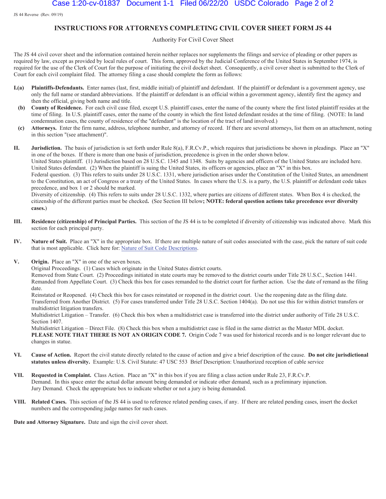#### **INSTRUCTIONS FOR ATTORNEYS COMPLETING CIVIL COVER SHEET FORM JS 44**

#### Authority For Civil Cover Sheet

The JS 44 civil cover sheet and the information contained herein neither replaces nor supplements the filings and service of pleading or other papers as required by law, except as provided by local rules of court. This form, approved by the Judicial Conference of the United States in September 1974, is required for the use of the Clerk of Court for the purpose of initiating the civil docket sheet. Consequently, a civil cover sheet is submitted to the Clerk of Court for each civil complaint filed. The attorney filing a case should complete the form as follows:

- Plaintiffs-Defendants. Enter names (last, first, middle initial) of plaintiff and defendant. If the plaintiff or defendant is a government agency, use  $L(a)$ only the full name or standard abbreviations. If the plaintiff or defendant is an official within a government agency, identify first the agency and then the official, giving both name and title.
- County of Residence. For each civil case filed, except U.S. plaintiff cases, enter the name of the county where the first listed plaintiff resides at the  $(b)$ time of filing. In U.S. plaintiff cases, enter the name of the county in which the first listed defendant resides at the time of filing. (NOTE: In land condemnation cases, the county of residence of the "defendant" is the location of the tract of land involved.)
- Attorneys. Enter the firm name, address, telephone number, and attorney of record. If there are several attorneys, list them on an attachment, noting  $(c)$ in this section "(see attachment)".

II. Jurisdiction. The basis of jurisdiction is set forth under Rule 8(a), F.R.Cv.P., which requires that jurisdictions be shown in pleadings. Place an "X" in one of the boxes. If there is more than one basis of jurisdiction, precedence is given in the order shown below.

United States plaintiff. (1) Jurisdiction based on 28 U.S.C. 1345 and 1348. Suits by agencies and officers of the United States are included here. United States defendant. (2) When the plaintiff is suing the United States, its officers or agencies, place an "X" in this box.

Federal question. (3) This refers to suits under 28 U.S.C. 1331, where jurisdiction arises under the Constitution of the United States, an amendment to the Constitution, an act of Congress or a treaty of the United States. In cases where the U.S. is a party, the U.S. plaintiff or defendant code takes precedence, and box 1 or 2 should be marked.

Diversity of citizenship. (4) This refers to suits under 28 U.S.C. 1332, where parties are citizens of different states. When Box 4 is checked, the citizenship of the different parties must be checked. (See Section III below; NOTE: federal question actions take precedence over diversity cases.)

- III. Residence (citizenship) of Principal Parties. This section of the JS 44 is to be completed if diversity of citizenship was indicated above. Mark this section for each principal party.
- Nature of Suit. Place an "X" in the appropriate box. If there are multiple nature of suit codes associated with the case, pick the nature of suit code IV. that is most applicable. Click here for: Nature of Suit Code Descriptions.
- $V_{\star}$ Origin. Place an "X" in one of the seven boxes.

Original Proceedings. (1) Cases which originate in the United States district courts.

Removed from State Court. (2) Proceedings initiated in state courts may be removed to the district courts under Title 28 U.S.C., Section 1441. Remanded from Appellate Court. (3) Check this box for cases remanded to the district court for further action. Use the date of remand as the filing date.

Reinstated or Reopened. (4) Check this box for cases reinstated or reopened in the district court. Use the reopening date as the filing date. Transferred from Another District. (5) For cases transferred under Title 28 U.S.C. Section 1404(a). Do not use this for within district transfers or multidistrict litigation transfers.

Multidistrict Litigation – Transfer. (6) Check this box when a multidistrict case is transferred into the district under authority of Title 28 U.S.C. Section 1407.

Multidistrict Litigation – Direct File. (8) Check this box when a multidistrict case is filed in the same district as the Master MDL docket. PLEASE NOTE THAT THERE IS NOT AN ORIGIN CODE 7. Origin Code 7 was used for historical records and is no longer relevant due to changes in statue.

- VI. Cause of Action. Report the civil statute directly related to the cause of action and give a brief description of the cause. Do not cite jurisdictional statutes unless diversity. Example: U.S. Civil Statute: 47 USC 553 Brief Description: Unauthorized reception of cable service
- VII. Requested in Complaint. Class Action. Place an "X" in this box if you are filing a class action under Rule 23, F.R.Cv.P. Demand. In this space enter the actual dollar amount being demanded or indicate other demand, such as a preliminary injunction. Jury Demand. Check the appropriate box to indicate whether or not a jury is being demanded.
- VIII. Related Cases. This section of the JS 44 is used to reference related pending cases, if any. If there are related pending cases, insert the docket numbers and the corresponding judge names for such cases.

Date and Attorney Signature. Date and sign the civil cover sheet.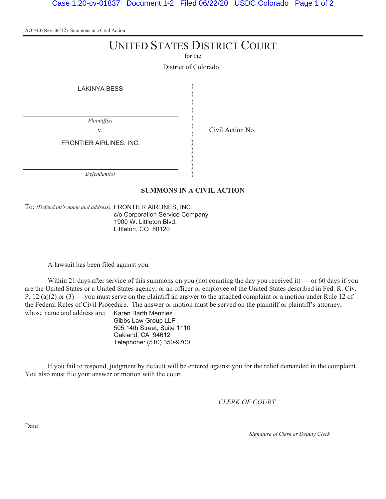AO 440 (Rev. 06/12) Summons in a Civil Action

| <b>UNITED STATES DISTRICT COURT</b><br>for the |                      |  |  |  |  |  |
|------------------------------------------------|----------------------|--|--|--|--|--|
|                                                | District of Colorado |  |  |  |  |  |
| <b>LAKINYA BESS</b>                            |                      |  |  |  |  |  |
| Plaintiff(s)<br>V.                             | Civil Action No.     |  |  |  |  |  |
| FRONTIER AIRLINES, INC.                        |                      |  |  |  |  |  |
| Defendant(s)                                   |                      |  |  |  |  |  |
| <b>SUMMONS IN A CIVIL ACTION</b>               |                      |  |  |  |  |  |

To: *(Defendant's name and address)* FRONTIER AIRLINES, INC. c/o Corporation Service Company 1900 W. Littleton Blvd. Littleton, CO 80120

A lawsuit has been filed against you.

Within 21 days after service of this summons on you (not counting the day you received it) — or 60 days if you are the United States or a United States agency, or an officer or employee of the United States described in Fed. R. Civ. P. 12 (a)(2) or (3) — you must serve on the plaintiff an answer to the attached complaint or a motion under Rule 12 of the Federal Rules of Civil Procedure. The answer or motion must be served on the plaintiff or plaintiff's attorney, whose name and address are: Karen Barth Menzies

Gibbs Law Group LLP 505 14th Street, Suite 1110 Oakland, CA 94612 Telephone: (510) 350-9700

If you fail to respond, judgment by default will be entered against you for the relief demanded in the complaint. You also must file your answer or motion with the court.

*CLERK OF COURT*

Date:

*Signature of Clerk or Deputy Clerk*